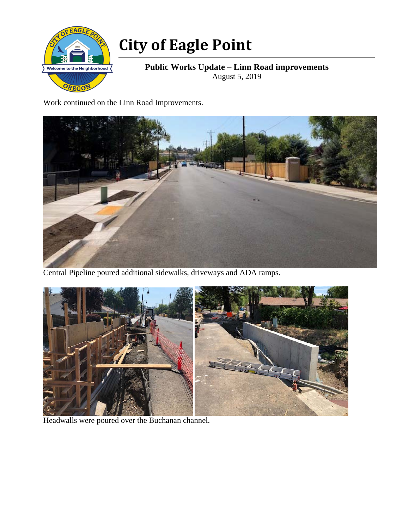

## **City of Eagle Point**

**Public Works Update – Linn Road improvements**  August 5, 2019

Work continued on the Linn Road Improvements.



Central Pipeline poured additional sidewalks, driveways and ADA ramps.



Headwalls were poured over the Buchanan channel.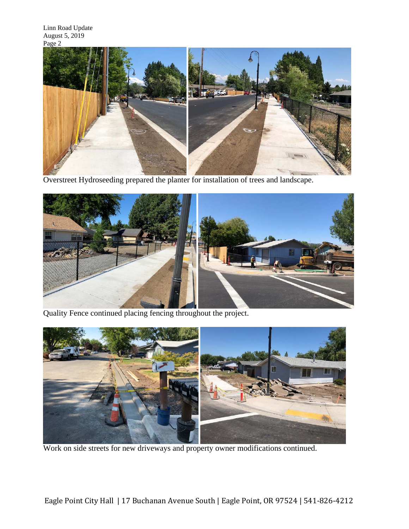

Overstreet Hydroseeding prepared the planter for installation of trees and landscape.



Quality Fence continued placing fencing throughout the project.



Work on side streets for new driveways and property owner modifications continued.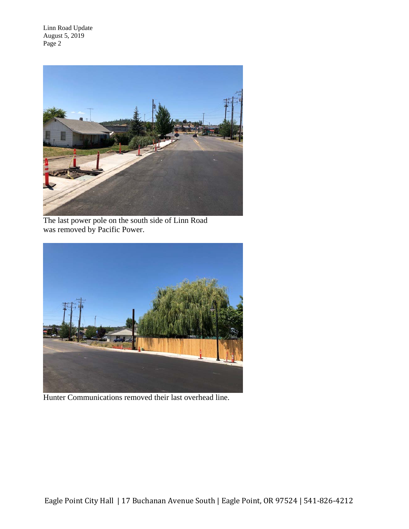Linn Road Update August 5, 2019 Page 2



The last power pole on the south side of Linn Road was removed by Pacific Power.



Hunter Communications removed their last overhead line.